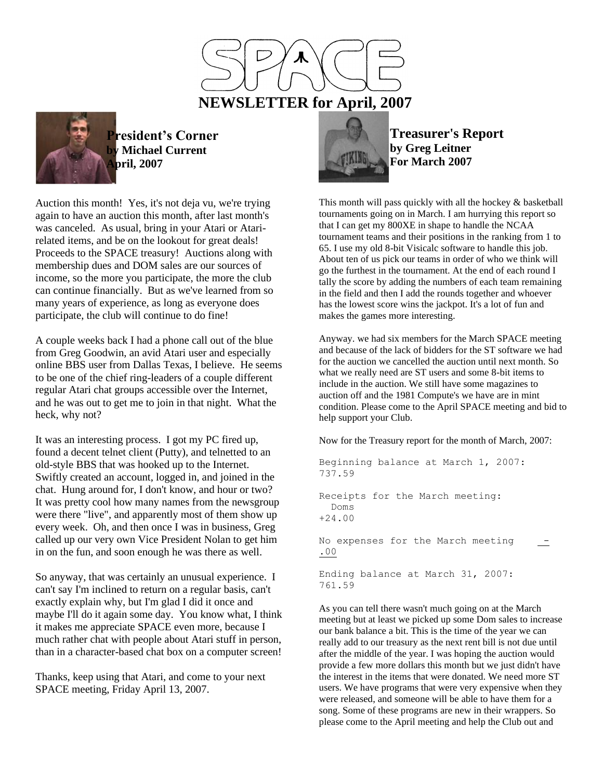

**President's Corner by Michael Current April, 2007**

Auction this month! Yes, it's not deja vu, we're trying again to have an auction this month, after last month's was canceled. As usual, bring in your Atari or Atarirelated items, and be on the lookout for great deals! Proceeds to the SPACE treasury! Auctions along with membership dues and DOM sales are our sources of income, so the more you participate, the more the club can continue financially. But as we've learned from so many years of experience, as long as everyone does participate, the club will continue to do fine!

A couple weeks back I had a phone call out of the blue from Greg Goodwin, an avid Atari user and especially online BBS user from Dallas Texas, I believe. He seems to be one of the chief ring-leaders of a couple different regular Atari chat groups accessible over the Internet, and he was out to get me to join in that night. What the heck, why not?

It was an interesting process. I got my PC fired up, found a decent telnet client (Putty), and telnetted to an old-style BBS that was hooked up to the Internet. Swiftly created an account, logged in, and joined in the chat. Hung around for, I don't know, and hour or two? It was pretty cool how many names from the newsgroup were there "live", and apparently most of them show up every week. Oh, and then once I was in business, Greg called up our very own Vice President Nolan to get him in on the fun, and soon enough he was there as well.

So anyway, that was certainly an unusual experience. I can't say I'm inclined to return on a regular basis, can't exactly explain why, but I'm glad I did it once and maybe I'll do it again some day. You know what, I think it makes me appreciate SPACE even more, because I much rather chat with people about Atari stuff in person, than in a character-based chat box on a computer screen!

Thanks, keep using that Atari, and come to your next SPACE meeting, Friday April 13, 2007.



**Treasurer's Report by Greg Leitner For March 2007**

This month will pass quickly with all the hockey & basketball tournaments going on in March. I am hurrying this report so that I can get my 800XE in shape to handle the NCAA tournament teams and their positions in the ranking from 1 to 65. I use my old 8-bit Visicalc software to handle this job. About ten of us pick our teams in order of who we think will go the furthest in the tournament. At the end of each round I tally the score by adding the numbers of each team remaining in the field and then I add the rounds together and whoever has the lowest score wins the jackpot. It's a lot of fun and makes the games more interesting.

Anyway. we had six members for the March SPACE meeting and because of the lack of bidders for the ST software we had for the auction we cancelled the auction until next month. So what we really need are ST users and some 8-bit items to include in the auction. We still have some magazines to auction off and the 1981 Compute's we have are in mint condition. Please come to the April SPACE meeting and bid to help support your Club.

Now for the Treasury report for the month of March, 2007:

```
Beginning balance at March 1, 2007: 
737.59
Receipts for the March meeting:
   Doms 
+24.00
No expenses for the March meeting
.00
Ending balance at March 31, 2007: 
761.59
```
As you can tell there wasn't much going on at the March meeting but at least we picked up some Dom sales to increase our bank balance a bit. This is the time of the year we can really add to our treasury as the next rent bill is not due until after the middle of the year. I was hoping the auction would provide a few more dollars this month but we just didn't have the interest in the items that were donated. We need more ST users. We have programs that were very expensive when they were released, and someone will be able to have them for a song. Some of these programs are new in their wrappers. So please come to the April meeting and help the Club out and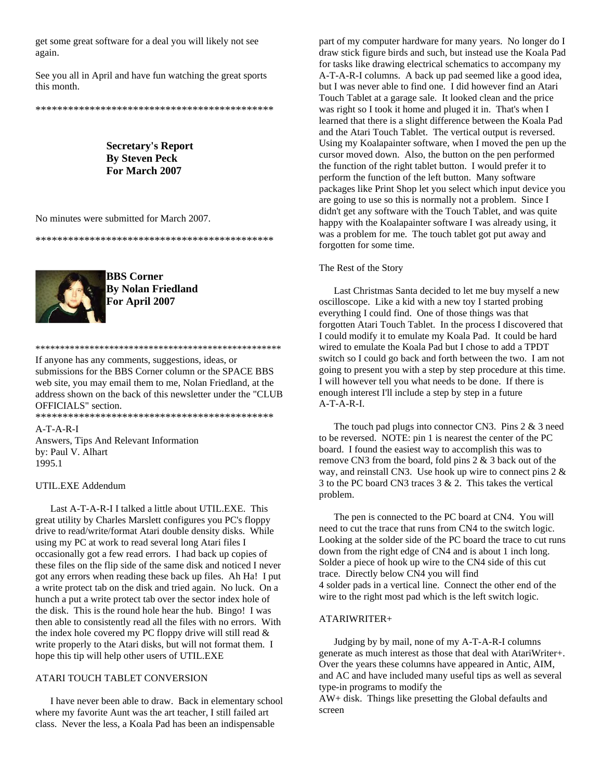get some great software for a deal you will likely not see again.

See you all in April and have fun watching the great sports this month.

\*\*\*\*\*\*\*\*\*\*\*\*\*\*\*\*\*\*\*\*\*\*\*\*\*\*\*\*\*\*\*\*\*\*\*\*\*\*\*\*\*\*\*\*

**Secretary's Report By Steven Peck For March 2007**

No minutes were submitted for March 2007.

\*\*\*\*\*\*\*\*\*\*\*\*\*\*\*\*\*\*\*\*\*\*\*\*\*\*\*\*\*\*\*\*\*\*\*\*\*\*\*\*\*\*\*\*



**BBS Corner By Nolan Friedland For April 2007**

If anyone has any comments, suggestions, ideas, or submissions for the BBS Corner column or the SPACE BBS web site, you may email them to me, Nolan Friedland, at the address shown on the back of this newsletter under the "CLUB OFFICIALS" section.

\*\*\*\*\*\*\*\*\*\*\*\*\*\*\*\*\*\*\*\*\*\*\*\*\*\*\*\*\*\*\*\*\*\*\*\*\*\*\*\*\*\*\*\*\*\*\*\*\*\*

\*\*\*\*\*\*\*\*\*\*\*\*\*\*\*\*\*\*\*\*\*\*\*\*\*\*\*\*\*\*\*\*\*\*\*\*\*\*\*\*\*\*\*\*

A-T-A-R-I Answers, Tips And Relevant Information by: Paul V. Alhart 1995.1

## UTIL.EXE Addendum

 Last A-T-A-R-I I talked a little about UTIL.EXE. This great utility by Charles Marslett configures you PC's floppy drive to read/write/format Atari double density disks. While using my PC at work to read several long Atari files I occasionally got a few read errors. I had back up copies of these files on the flip side of the same disk and noticed I never got any errors when reading these back up files. Ah Ha! I put a write protect tab on the disk and tried again. No luck. On a hunch a put a write protect tab over the sector index hole of the disk. This is the round hole hear the hub. Bingo! I was then able to consistently read all the files with no errors. With the index hole covered my PC floppy drive will still read & write properly to the Atari disks, but will not format them. I hope this tip will help other users of UTIL.EXE

## ATARI TOUCH TABLET CONVERSION

 I have never been able to draw. Back in elementary school where my favorite Aunt was the art teacher, I still failed art class. Never the less, a Koala Pad has been an indispensable

part of my computer hardware for many years. No longer do I draw stick figure birds and such, but instead use the Koala Pad for tasks like drawing electrical schematics to accompany my A-T-A-R-I columns. A back up pad seemed like a good idea, but I was never able to find one. I did however find an Atari Touch Tablet at a garage sale. It looked clean and the price was right so I took it home and pluged it in. That's when I learned that there is a slight difference between the Koala Pad and the Atari Touch Tablet. The vertical output is reversed. Using my Koalapainter software, when I moved the pen up the cursor moved down. Also, the button on the pen performed the function of the right tablet button. I would prefer it to perform the function of the left button. Many software packages like Print Shop let you select which input device you are going to use so this is normally not a problem. Since I didn't get any software with the Touch Tablet, and was quite happy with the Koalapainter software I was already using, it was a problem for me. The touch tablet got put away and forgotten for some time.

## The Rest of the Story

 Last Christmas Santa decided to let me buy myself a new oscilloscope. Like a kid with a new toy I started probing everything I could find. One of those things was that forgotten Atari Touch Tablet. In the process I discovered that I could modify it to emulate my Koala Pad. It could be hard wired to emulate the Koala Pad but I chose to add a TPDT switch so I could go back and forth between the two. I am not going to present you with a step by step procedure at this time. I will however tell you what needs to be done. If there is enough interest I'll include a step by step in a future A-T-A-R-I.

 The touch pad plugs into connector CN3. Pins 2 & 3 need to be reversed. NOTE: pin 1 is nearest the center of the PC board. I found the easiest way to accomplish this was to remove CN3 from the board, fold pins 2 & 3 back out of the way, and reinstall CN3. Use hook up wire to connect pins 2 & 3 to the PC board CN3 traces 3 & 2. This takes the vertical problem.

 The pen is connected to the PC board at CN4. You will need to cut the trace that runs from CN4 to the switch logic. Looking at the solder side of the PC board the trace to cut runs down from the right edge of CN4 and is about 1 inch long. Solder a piece of hook up wire to the CN4 side of this cut trace. Directly below CN4 you will find 4 solder pads in a vertical line. Connect the other end of the wire to the right most pad which is the left switch logic.

## ATARIWRITER+

 Judging by by mail, none of my A-T-A-R-I columns generate as much interest as those that deal with AtariWriter+. Over the years these columns have appeared in Antic, AIM, and AC and have included many useful tips as well as several type-in programs to modify the AW+ disk. Things like presetting the Global defaults and

screen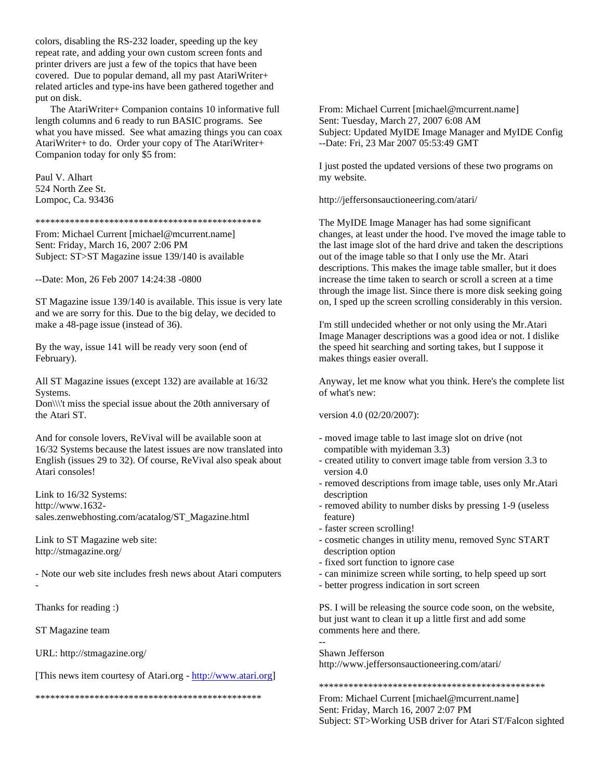colors, disabling the RS-232 loader, speeding up the key repeat rate, and adding your own custom screen fonts and printer drivers are just a few of the topics that have been covered. Due to popular demand, all my past AtariWriter+ related articles and type-ins have been gathered together and put on disk.

 The AtariWriter+ Companion contains 10 informative full length columns and 6 ready to run BASIC programs. See what you have missed. See what amazing things you can coax AtariWriter+ to do. Order your copy of The AtariWriter+ Companion today for only \$5 from:

Paul V. Alhart 524 North Zee St. Lompoc, Ca. 93436

\*\*\*\*\*\*\*\*\*\*\*\*\*\*\*\*\*\*\*\*\*\*\*\*\*\*\*\*\*\*\*\*\*\*\*\*\*\*\*\*\*\*\*\*\*\*

From: Michael Current [michael@mcurrent.name] Sent: Friday, March 16, 2007 2:06 PM Subject: ST>ST Magazine issue 139/140 is available

--Date: Mon, 26 Feb 2007 14:24:38 -0800

ST Magazine issue 139/140 is available. This issue is very late and we are sorry for this. Due to the big delay, we decided to make a 48-page issue (instead of 36).

By the way, issue 141 will be ready very soon (end of February).

All ST Magazine issues (except 132) are available at 16/32 Systems.

Don\\\'t miss the special issue about the 20th anniversary of the Atari ST.

And for console lovers, ReVival will be available soon at 16/32 Systems because the latest issues are now translated into English (issues 29 to 32). Of course, ReVival also speak about Atari consoles!

Link to 16/32 Systems: http://www.1632 sales.zenwebhosting.com/acatalog/ST\_Magazine.html

Link to ST Magazine web site: http://stmagazine.org/

- Note our web site includes fresh news about Atari computers

-

Thanks for reading :)

ST Magazine team

URL: http://stmagazine.org/

[This news item courtesy of Atari.org - [http://www.atari.org\]](http://www.atari.org/)

\*\*\*\*\*\*\*\*\*\*\*\*\*\*\*\*\*\*\*\*\*\*\*\*\*\*\*\*\*\*\*\*\*\*\*\*\*\*\*\*\*\*\*\*\*\*

From: Michael Current [michael@mcurrent.name] Sent: Tuesday, March 27, 2007 6:08 AM Subject: Updated MyIDE Image Manager and MyIDE Config --Date: Fri, 23 Mar 2007 05:53:49 GMT

I just posted the updated versions of these two programs on my website.

http://jeffersonsauctioneering.com/atari/

The MyIDE Image Manager has had some significant changes, at least under the hood. I've moved the image table to the last image slot of the hard drive and taken the descriptions out of the image table so that I only use the Mr. Atari descriptions. This makes the image table smaller, but it does increase the time taken to search or scroll a screen at a time through the image list. Since there is more disk seeking going on, I sped up the screen scrolling considerably in this version.

I'm still undecided whether or not only using the Mr.Atari Image Manager descriptions was a good idea or not. I dislike the speed hit searching and sorting takes, but I suppose it makes things easier overall.

Anyway, let me know what you think. Here's the complete list of what's new:

version 4.0 (02/20/2007):

- moved image table to last image slot on drive (not compatible with myideman 3.3)
- created utility to convert image table from version 3.3 to version 4.0
- removed descriptions from image table, uses only Mr.Atari description
- removed ability to number disks by pressing 1-9 (useless feature)
- faster screen scrolling!
- cosmetic changes in utility menu, removed Sync START description option
- fixed sort function to ignore case
- can minimize screen while sorting, to help speed up sort
- better progress indication in sort screen

PS. I will be releasing the source code soon, on the website, but just want to clean it up a little first and add some comments here and there.

-- Shawn Jefferson http://www.jeffersonsauctioneering.com/atari/

\*\*\*\*\*\*\*\*\*\*\*\*\*\*\*\*\*\*\*\*\*\*\*\*\*\*\*\*\*\*\*\*\*\*\*\*\*\*\*\*\*\*\*\*\*\*

From: Michael Current [michael@mcurrent.name] Sent: Friday, March 16, 2007 2:07 PM Subject: ST>Working USB driver for Atari ST/Falcon sighted